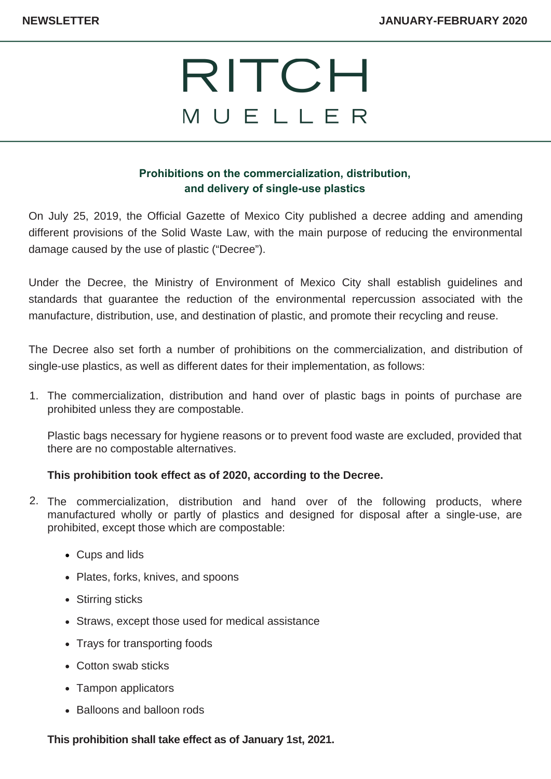# RITCH MUELLER

### **Prohibitions on the commercialization, distribution, and delivery of single-use plastics**

On July 25, 2019, the Official Gazette of Mexico City published a decree adding and amending different provisions of the Solid Waste Law, with the main purpose of reducing the environmental damage caused by the use of plastic ("Decree").

Under the Decree, the Ministry of Environment of Mexico City shall establish guidelines and standards that guarantee the reduction of the environmental repercussion associated with the manufacture, distribution, use, and destination of plastic, and promote their recycling and reuse.

The Decree also set forth a number of prohibitions on the commercialization, and distribution of single-use plastics, as well as different dates for their implementation, as follows:

1. The commercialization, distribution and hand over of plastic bags in points of purchase are prohibited unless they are compostable.

Plastic bags necessary for hygiene reasons or to prevent food waste are excluded, provided that there are no compostable alternatives.

#### **This prohibition took effect as of 2020, according to the Decree.**

- The commercialization, distribution and hand over of the following products, where 2. manufactured wholly or partly of plastics and designed for disposal after a single-use, are prohibited, except those which are compostable:
	- Cups and lids
	- Plates, forks, knives, and spoons
	- Stirring sticks
	- Straws, except those used for medical assistance
	- Trays for transporting foods
	- Cotton swab sticks
	- Tampon applicators
	- Balloons and balloon rods

**This prohibition shall take effect as of January 1st, 2021.**